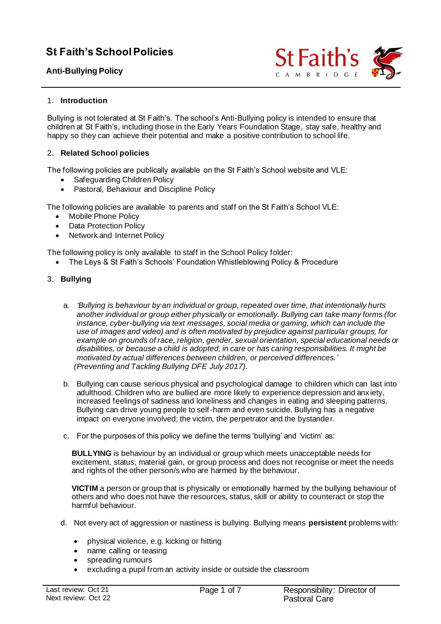# **St Faith's School Policies**

# **Anti-Bullying Policy**



# 1. **Introduction**

Bullying is not tolerated at St Faith's. The school's Anti-Bullying policy is intended to ensure that children at St Faith's, including those in the Early Years Foundation Stage, stay safe, healthy and happy so they can achieve their potential and make a positive contribution to school life.

# 2. **Related School policies**

The following policies are publically available on the St Faith's School website and VLE:

- Safeguarding Children Policy
- Pastoral, Behaviour and Discipline Policy

The following policies are available to parents and staff on the St Faith's School VLE:

- Mobile Phone Policy
- Data Protection Policy
- Network and Internet Policy

The following policy is only available to staff in the School Policy folder:

• The Leys & St Faith's Schools' Foundation Whistleblowing Policy & Procedure

# 3. **Bullying**

- a. *'Bullying is behaviour by an individual or group, repeated over time, that intentionally hurts another individual or group either physically or emotionally. Bullying can take many forms (for instance, cyber-bullying via text messages, social media or gaming, which can include the use of images and video) and is often motivated by prejudice against particular groups, for example on grounds of race, religion, gender, sexual orientation, special educational needs or disabilities, or because a child is adopted, in care or has caring responsibilities. It might be motivated by actual differences between children, or perceived differences.' (Preventing and Tackling Bullying DFE July 2017).*
- b. Bullying can cause serious physical and psychological damage to children which can last into adulthood. Children who are bullied are more likely to experience depression and anxiety, increased feelings of sadness and loneliness and changes in eating and sleeping patterns. Bullying can drive young people to self-harm and even suicide. Bullying has a negative impact on everyone involved; the victim, the perpetrator and the bystander.
- c. For the purposes of this policy we define the terms 'bullying' and 'victim' as:

**BULLYING** is behaviour by an individual or group which meets unacceptable needs for excitement, status, material gain, or group process and does not recognise or meet the needs and rights of the other person/s who are harmed by the behaviour.

**VICTIM** a person or group that is physically or emotionally harmed by the bullying behaviour of others and who does not have the resources, status, skill or ability to counteract or stop the harmful behaviour.

- d. Not every act of aggression or nastiness is bullying. Bullying means **persistent** problems with:
	- physical violence, e.g. kicking or hitting
	- name calling or teasing
	- spreading rumours
	- excluding a pupil from an activity inside or outside the classroom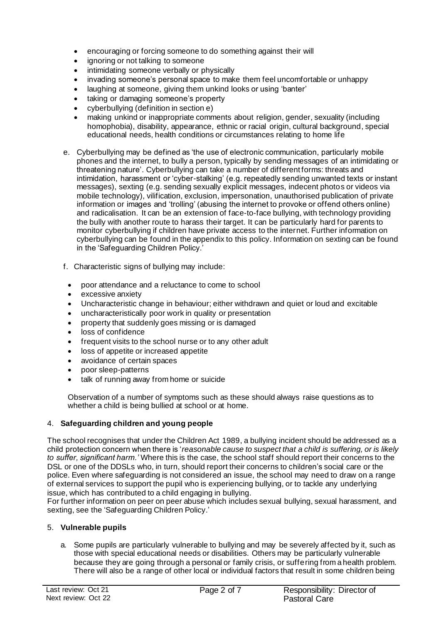- encouraging or forcing someone to do something against their will
- ignoring or not talking to someone
- intimidating someone verbally or physically
- invading someone's personal space to make them feel uncomfortable or unhappy
- laughing at someone, giving them unkind looks or using 'banter'
- taking or damaging someone's property
- cyberbullying (definition in section e)
- making unkind or inappropriate comments about religion, gender, sexuality (including homophobia), disability, appearance, ethnic or racial origin, cultural background, special educational needs, health conditions or circumstances relating to home life
- e. Cyberbullying may be defined as 'the use of electronic communication, particularly mobile phones and the internet, to bully a person, typically by sending messages of an intimidating or threatening nature'. Cyberbullying can take a number of different forms: threats and intimidation, harassment or 'cyber-stalking' (e.g. repeatedly sending unwanted texts or instant messages), sexting (e.g. sending sexually explicit messages, indecent photos or videos via mobile technology), vilification, exclusion, impersonation, unauthorised publication of private information or images and 'trolling' (abusing the internet to provoke or offend others online) and radicalisation. It can be an extension of face-to-face bullying, with technology providing the bully with another route to harass their target. It can be particularly hard for parents to monitor cyberbullying if children have private access to the internet. Further information on cyberbullying can be found in the appendix to this policy. Information on sexting can be found in the 'Safeguarding Children Policy.'
- f. Characteristic signs of bullying may include:
- poor attendance and a reluctance to come to school
- excessive anxiety
- Uncharacteristic change in behaviour; either withdrawn and quiet or loud and excitable
- uncharacteristically poor work in quality or presentation
- property that suddenly goes missing or is damaged
- loss of confidence
- frequent visits to the school nurse or to any other adult
- loss of appetite or increased appetite
- avoidance of certain spaces
- poor sleep-patterns
- talk of running away from home or suicide

Observation of a number of symptoms such as these should always raise questions as to whether a child is being bullied at school or at home.

# 4. **Safeguarding children and young people**

The school recognises that under the Children Act 1989, a bullying incident should be addressed as a child protection concern when there is '*reasonable cause to suspect that a child is suffering, or is likely to suffer, significant harm.'* Where this is the case, the school staff should report their concerns to the DSL or one of the DDSLs who, in turn, should report their concerns to children's social care or the police. Even where safeguarding is not considered an issue, the school may need to draw on a range of external services to support the pupil who is experiencing bullying, or to tackle any underlying issue, which has contributed to a child engaging in bullying.

For further information on peer on peer abuse which includes sexual bullying, sexual harassment, and sexting, see the 'Safeguarding Children Policy.'

# 5. **Vulnerable pupils**

a. Some pupils are particularly vulnerable to bullying and may be severely affected by it, such as those with special educational needs or disabilities. Others may be particularly vulnerable because they are going through a personal or family crisis, or suffering from a health problem. There will also be a range of other local or individual factors that result in some children being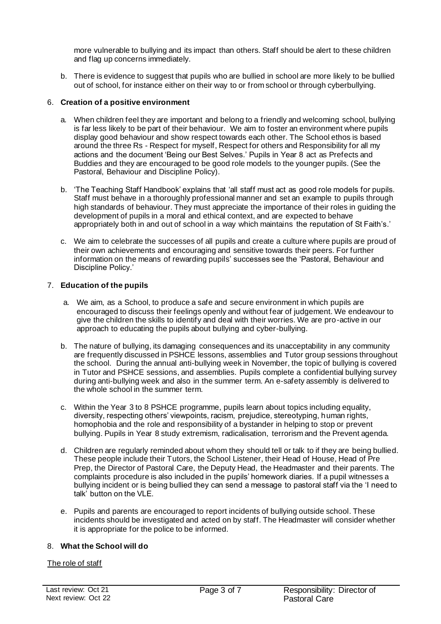more vulnerable to bullying and its impact than others. Staff should be alert to these children and flag up concerns immediately.

b. There is evidence to suggest that pupils who are bullied in school are more likely to be bullied out of school, for instance either on their way to or from school or through cyberbullying.

### 6. **Creation of a positive environment**

- a. When children feel they are important and belong to a friendly and welcoming school, bullying is far less likely to be part of their behaviour. We aim to foster an environment where pupils display good behaviour and show respect towards each other. The School ethos is based around the three Rs - Respect for myself, Respect for others and Responsibility for all my actions and the document 'Being our Best Selves.' Pupils in Year 8 act as Prefects and Buddies and they are encouraged to be good role models to the younger pupils. (See the Pastoral, Behaviour and Discipline Policy).
- b. 'The Teaching Staff Handbook' explains that 'all staff must act as good role models for pupils. Staff must behave in a thoroughly professional manner and set an example to pupils through high standards of behaviour. They must appreciate the importance of their roles in guiding the development of pupils in a moral and ethical context, and are expected to behave appropriately both in and out of school in a way which maintains the reputation of St Faith's.'
- c. We aim to celebrate the successes of all pupils and create a culture where pupils are proud of their own achievements and encouraging and sensitive towards their peers. For further information on the means of rewarding pupils' successes see the 'Pastoral, Behaviour and Discipline Policy.'

# 7. **Education of the pupils**

- a. We aim, as a School, to produce a safe and secure environment in which pupils are encouraged to discuss their feelings openly and without fear of judgement. We endeavour to give the children the skills to identify and deal with their worries. We are pro-active in our approach to educating the pupils about bullying and cyber-bullying.
- b. The nature of bullying, its damaging consequences and its unacceptability in any community are frequently discussed in PSHCE lessons, assemblies and Tutor group sessions throughout the school. During the annual anti-bullying week in November, the topic of bullying is covered in Tutor and PSHCE sessions, and assemblies. Pupils complete a confidential bullying survey during anti-bullying week and also in the summer term. An e-safety assembly is delivered to the whole school in the summer term.
- c. Within the Year 3 to 8 PSHCE programme, pupils learn about topics including equality, diversity, respecting others' viewpoints, racism, prejudice, stereotyping, human rights, homophobia and the role and responsibility of a bystander in helping to stop or prevent bullying. Pupils in Year 8 study extremism, radicalisation, terrorism and the Prevent agenda.
- d. Children are regularly reminded about whom they should tell or talk to if they are being bullied. These people include their Tutors, the School Listener, their Head of House, Head of Pre Prep, the Director of Pastoral Care, the Deputy Head, the Headmaster and their parents. The complaints procedure is also included in the pupils' homework diaries. If a pupil witnesses a bullying incident or is being bullied they can send a message to pastoral staff via the 'I need to talk' button on the VLE.
- e. Pupils and parents are encouraged to report incidents of bullying outside school. These incidents should be investigated and acted on by staff. The Headmaster will consider whether it is appropriate for the police to be informed.

# 8. **What the School will do**

The role of staff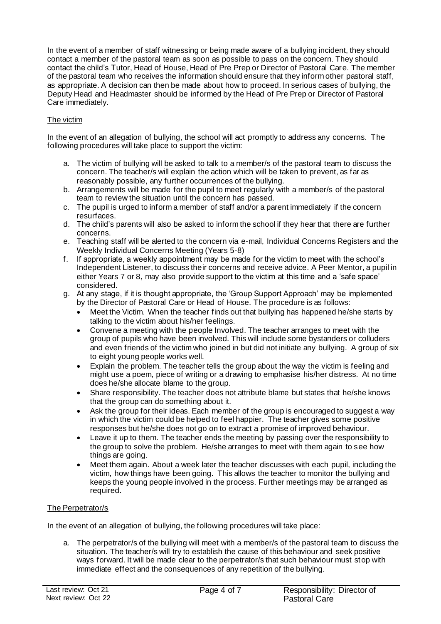In the event of a member of staff witnessing or being made aware of a bullying incident, they should contact a member of the pastoral team as soon as possible to pass on the concern. They should contact the child's Tutor, Head of House, Head of Pre Prep or Director of Pastoral Care. The member of the pastoral team who receives the information should ensure that they inform other pastoral staff, as appropriate. A decision can then be made about how to proceed. In serious cases of bullying, the Deputy Head and Headmaster should be informed by the Head of Pre Prep or Director of Pastoral Care immediately.

# The victim

In the event of an allegation of bullying, the school will act promptly to address any concerns. The following procedures will take place to support the victim:

- a. The victim of bullying will be asked to talk to a member/s of the pastoral team to discuss the concern. The teacher/s will explain the action which will be taken to prevent, as far as reasonably possible, any further occurrences of the bullying.
- b. Arrangements will be made for the pupil to meet regularly with a member/s of the pastoral team to review the situation until the concern has passed.
- c. The pupil is urged to inform a member of staff and/or a parent immediately if the concern resurfaces.
- d. The child's parents will also be asked to inform the school if they hear that there are further concerns.
- e. Teaching staff will be alerted to the concern via e-mail, Individual Concerns Registers and the Weekly Individual Concerns Meeting (Years 5-8)
- f. If appropriate, a weekly appointment may be made for the victim to meet with the school's Independent Listener, to discuss their concerns and receive advice. A Peer Mentor, a pupil in either Years 7 or 8, may also provide support to the victim at this time and a 'safe space' considered.
- g. At any stage, if it is thought appropriate, the 'Group Support Approach' may be implemented by the Director of Pastoral Care or Head of House. The procedure is as follows:
	- Meet the Victim. When the teacher finds out that bullying has happened he/she starts by talking to the victim about his/her feelings.
	- Convene a meeting with the people Involved. The teacher arranges to meet with the group of pupils who have been involved. This will include some bystanders or colluders and even friends of the victim who joined in but did not initiate any bullying. A group of six to eight young people works well.
	- Explain the problem. The teacher tells the group about the way the victim is feeling and might use a poem, piece of writing or a drawing to emphasise his/her distress. At no time does he/she allocate blame to the group.
	- Share responsibility. The teacher does not attribute blame but states that he/she knows that the group can do something about it.
	- Ask the group for their ideas. Each member of the group is encouraged to suggest a way in which the victim could be helped to feel happier. The teacher gives some positive responses but he/she does not go on to extract a promise of improved behaviour.
	- Leave it up to them. The teacher ends the meeting by passing over the responsibility to the group to solve the problem. He/she arranges to meet with them again to see how things are going.
	- Meet them again. About a week later the teacher discusses with each pupil, including the victim, how things have been going. This allows the teacher to monitor the bullying and keeps the young people involved in the process. Further meetings may be arranged as required.

# The Perpetrator/s

In the event of an allegation of bullying, the following procedures will take place:

a. The perpetrator/s of the bullying will meet with a member/s of the pastoral team to discuss the situation. The teacher/s will try to establish the cause of this behaviour and seek positive ways forward. It will be made clear to the perpetrator/s that such behaviour must stop with immediate effect and the consequences of any repetition of the bullying.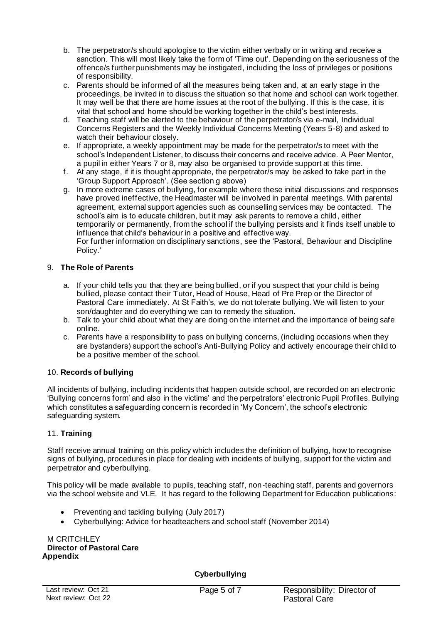- b. The perpetrator/s should apologise to the victim either verbally or in writing and receive a sanction. This will most likely take the form of 'Time out'. Depending on the seriousness of the offence/s further punishments may be instigated, including the loss of privileges or positions of responsibility.
- c. Parents should be informed of all the measures being taken and, at an early stage in the proceedings, be invited in to discuss the situation so that home and school can work together. It may well be that there are home issues at the root of the bullying. If this is the case, it is vital that school and home should be working together in the child's best interests.
- d. Teaching staff will be alerted to the behaviour of the perpetrator/s via e-mail, Individual Concerns Registers and the Weekly Individual Concerns Meeting (Years 5-8) and asked to watch their behaviour closely.
- e. If appropriate, a weekly appointment may be made for the perpetrator/s to meet with the school's Independent Listener, to discuss their concerns and receive advice. A Peer Mentor, a pupil in either Years 7 or 8, may also be organised to provide support at this time.
- f. At any stage, if it is thought appropriate, the perpetrator/s may be asked to take part in the 'Group Support Approach'. (See section g above)
- g. In more extreme cases of bullying, for example where these initial discussions and responses have proved ineffective, the Headmaster will be involved in parental meetings. With parental agreement, external support agencies such as counselling services may be contacted. The school's aim is to educate children, but it may ask parents to remove a child, either temporarily or permanently, from the school if the bullying persists and it finds itself unable to influence that child's behaviour in a positive and effective way. For further information on disciplinary sanctions, see the 'Pastoral, Behaviour and Discipline Policy.'

# 9. **The Role of Parents**

- a. If your child tells you that they are being bullied, or if you suspect that your child is being bullied, please contact their Tutor, Head of House, Head of Pre Prep or the Director of Pastoral Care immediately. At St Faith's, we do not tolerate bullying. We will listen to your son/daughter and do everything we can to remedy the situation.
- b. Talk to your child about what they are doing on the internet and the importance of being safe online.
- c. Parents have a responsibility to pass on bullying concerns, (including occasions when they are bystanders) support the school's Anti-Bullying Policy and actively encourage their child to be a positive member of the school.

# 10. **Records of bullying**

All incidents of bullying, including incidents that happen outside school, are recorded on an electronic 'Bullying concerns form' and also in the victims' and the perpetrators' electronic Pupil Profiles. Bullying which constitutes a safeguarding concern is recorded in 'My Concern', the school's electronic safeguarding system.

# 11. **Training**

Staff receive annual training on this policy which includes the definition of bullying, how to recognise signs of bullying, procedures in place for dealing with incidents of bullying, support for the victim and perpetrator and cyberbullying.

This policy will be made available to pupils, teaching staff, non-teaching staff, parents and governors via the school website and VLE. It has regard to the following Department for Education publications:

- Preventing and tackling bullying (July 2017)
- Cyberbullying: Advice for headteachers and school staff (November 2014)

M CRITCHLEY **Director of Pastoral Care Appendix**

# **Cyberbullying**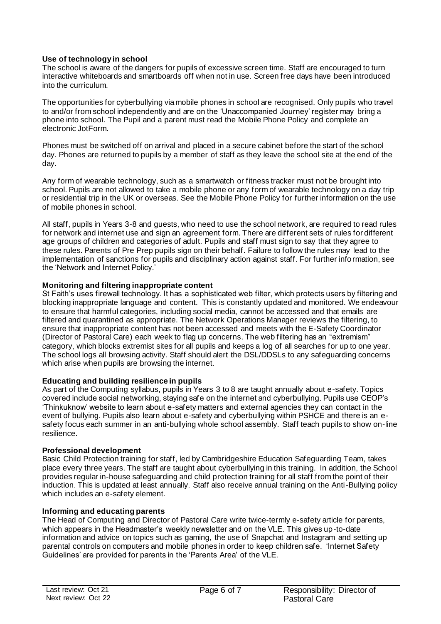# **Use of technology in school**

The school is aware of the dangers for pupils of excessive screen time. Staff are encouraged to turn interactive whiteboards and smartboards off when not in use. Screen free days have been introduced into the curriculum.

The opportunities for cyberbullying via mobile phones in school are recognised. Only pupils who travel to and/or from school independently and are on the 'Unaccompanied Journey' register may bring a phone into school. The Pupil and a parent must read the Mobile Phone Policy and complete an electronic JotForm.

Phones must be switched off on arrival and placed in a secure cabinet before the start of the school day. Phones are returned to pupils by a member of staff as they leave the school site at the end of the day.

Any form of wearable technology, such as a smartwatch or fitness tracker must not be brought into school. Pupils are not allowed to take a mobile phone or any form of wearable technology on a day trip or residential trip in the UK or overseas. See the Mobile Phone Policy for further information on the use of mobile phones in school.

All staff, pupils in Years 3-8 and guests, who need to use the school network, are required to read rules for network and internet use and sign an agreement form. There are different sets of rules for different age groups of children and categories of adult. Pupils and staff must sign to say that they agree to these rules. Parents of Pre Prep pupils sign on their behalf. Failure to follow the rules may lead to the implementation of sanctions for pupils and disciplinary action against staff. For further information, see the 'Network and Internet Policy.'

### **Monitoring and filtering inappropriate content**

St Faith's uses firewall technology. It has a sophisticated web filter, which protects users by filtering and blocking inappropriate language and content. This is constantly updated and monitored. We endeavour to ensure that harmful categories, including social media, cannot be accessed and that emails are filtered and quarantined as appropriate. The Network Operations Manager reviews the filtering, to ensure that inappropriate content has not been accessed and meets with the E-Safety Coordinator (Director of Pastoral Care) each week to flag up concerns. The web filtering has an "extremism" category, which blocks extremist sites for all pupils and keeps a log of all searches for up to one year. The school logs all browsing activity. Staff should alert the DSL/DDSLs to any safeguarding concerns which arise when pupils are browsing the internet.

### **Educating and building resilience in pupils**

As part of the Computing syllabus, pupils in Years 3 to 8 are taught annually about e-safety. Topics covered include social networking, staying safe on the internet and cyberbullying. Pupils use CEOP's 'Thinkuknow' website to learn about e-safety matters and external agencies they can contact in the event of bullying. Pupils also learn about e-safety and cyberbullying within PSHCE and there is an esafety focus each summer in an anti-bullying whole school assembly. Staff teach pupils to show on-line resilience.

### **Professional development**

Basic Child Protection training for staff, led by Cambridgeshire Education Safeguarding Team, takes place every three years. The staff are taught about cyberbullying in this training. In addition, the School provides regular in-house safeguarding and child protection training for all staff from the point of their induction. This is updated at least annually. Staff also receive annual training on the Anti-Bullying policy which includes an e-safety element.

# **Informing and educating parents**

The Head of Computing and Director of Pastoral Care write twice-termly e-safety article for parents, which appears in the Headmaster's weekly newsletter and on the VLE. This gives up-to-date information and advice on topics such as gaming, the use of Snapchat and Instagram and setting up parental controls on computers and mobile phones in order to keep children safe. 'Internet Safety Guidelines' are provided for parents in the 'Parents Area' of the VLE.